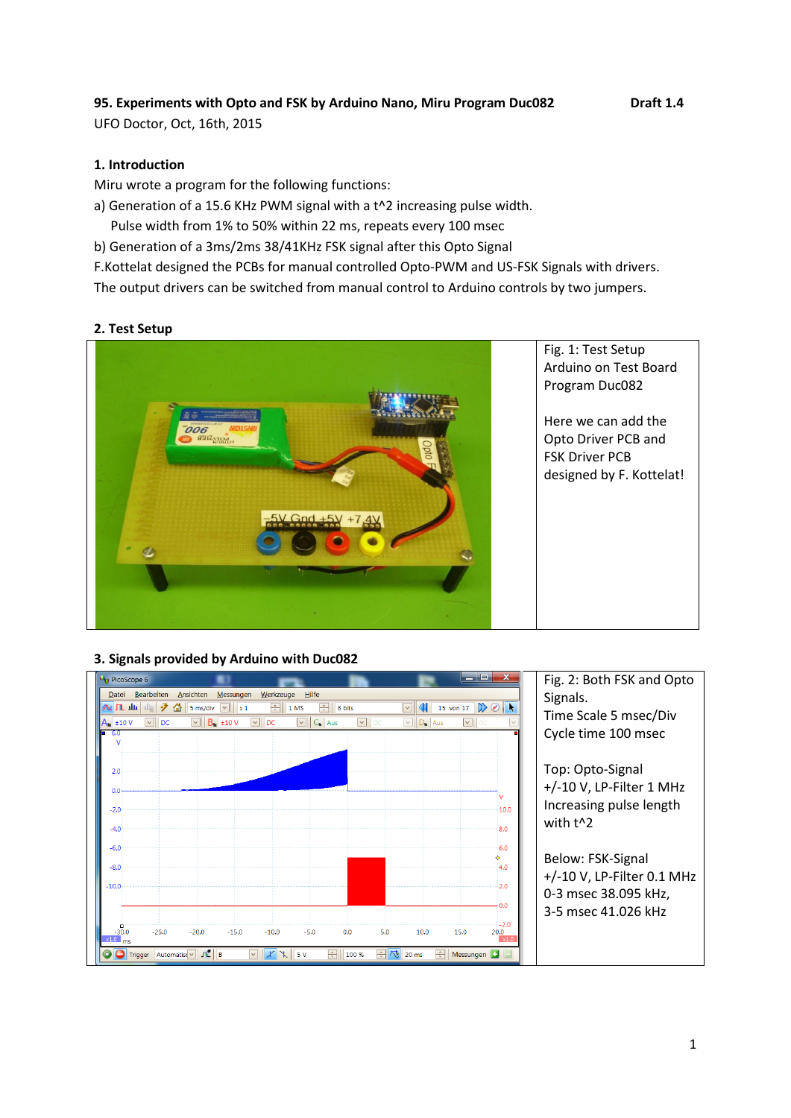# **95. Experiments with Opto and FSK by Arduino Nano, Miru Program Duc082 Draft 1.4**

UFO Doctor, Oct, 16th, 2015

## **1. Introduction**

Miru wrote a program for the following functions:

a) Generation of a 15.6 KHz PWM signal with a t^2 increasing pulse width.

Pulse width from 1% to 50% within 22 ms, repeats every 100 msec

b) Generation of a 3ms/2ms 38/41KHz FSK signal after this Opto Signal

F.Kottelat designed the PCBs for manual controlled Opto-PWM and US-FSK Signals with drivers.

The output drivers can be switched from manual control to Arduino controls by two jumpers.

### **2. Test Setup**



### **3. Signals provided by Arduino with Duc082**

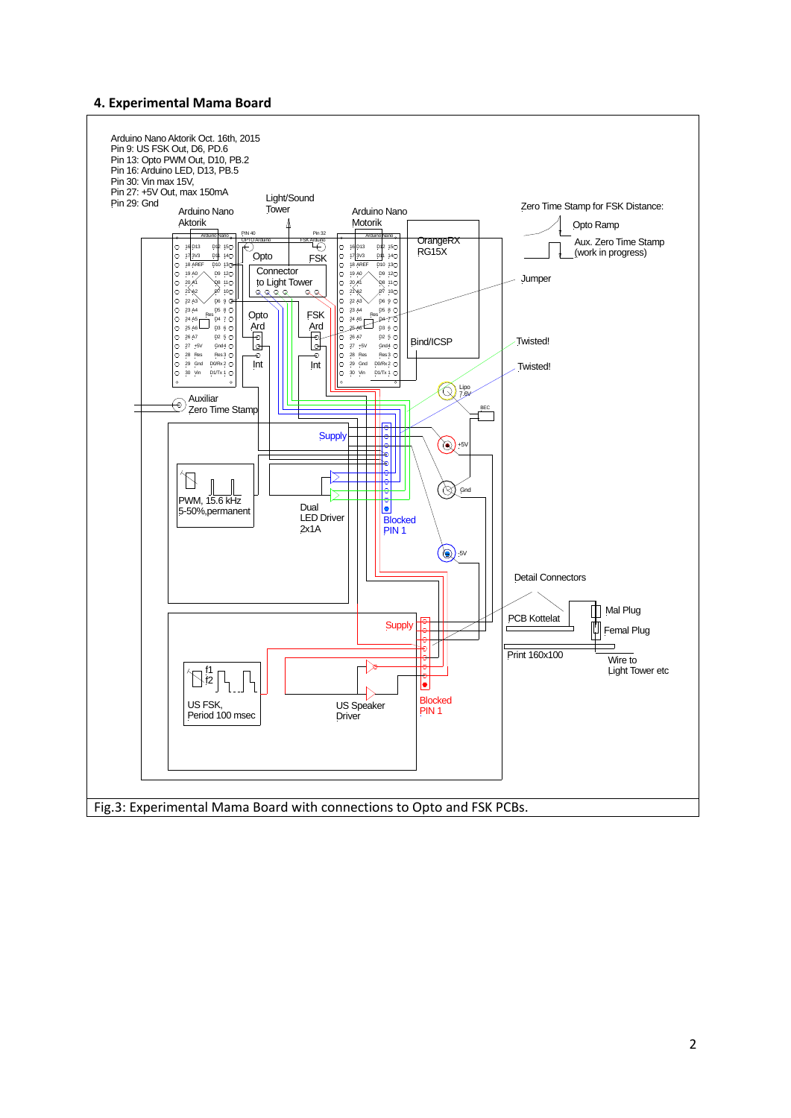#### **4. Experimental Mama Board**